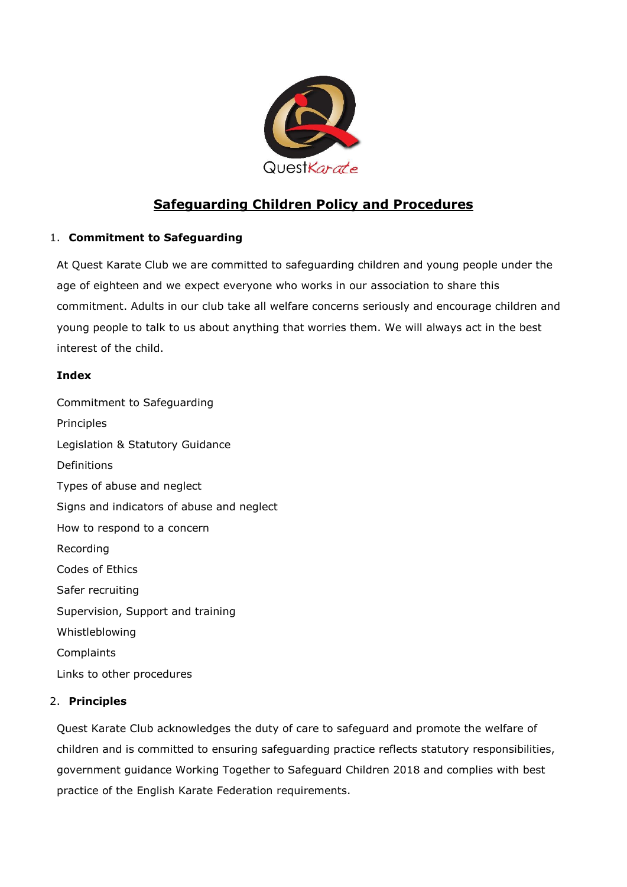

# **Safeguarding Children Policy and Procedures**

# 1. **Commitment to Safeguarding**

At Quest Karate Club we are committed to safeguarding children and young people under the age of eighteen and we expect everyone who works in our association to share this commitment. Adults in our club take all welfare concerns seriously and encourage children and young people to talk to us about anything that worries them. We will always act in the best interest of the child.

# **Index**

Commitment to Safeguarding Principles Legislation & Statutory Guidance Definitions Types of abuse and neglect Signs and indicators of abuse and neglect How to respond to a concern Recording Codes of Ethics Safer recruiting Supervision, Support and training Whistleblowing **Complaints** Links to other procedures

# 2. **Principles**

Quest Karate Club acknowledges the duty of care to safeguard and promote the welfare of children and is committed to ensuring safeguarding practice reflects statutory responsibilities, government guidance Working Together to Safeguard Children 2018 and complies with best practice of the English Karate Federation requirements.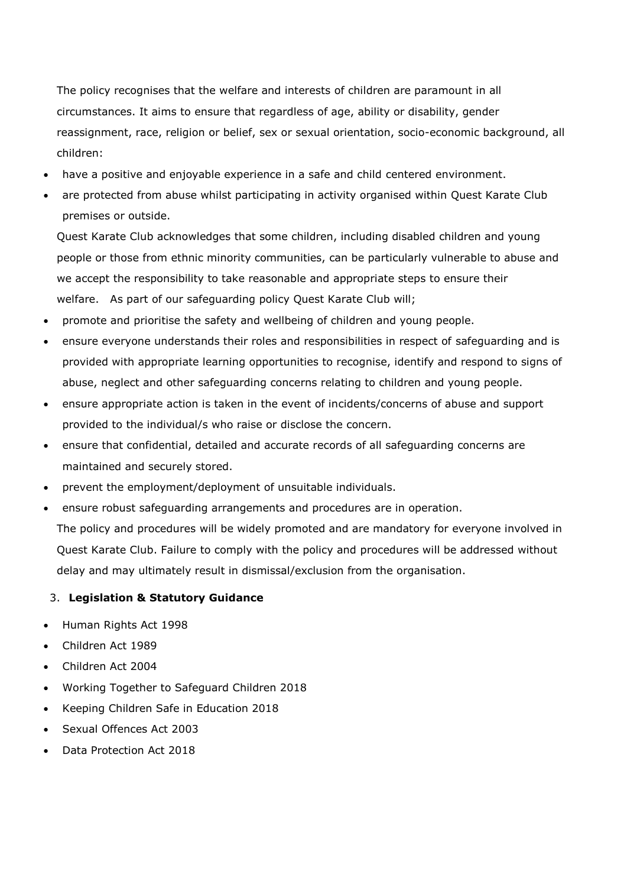The policy recognises that the welfare and interests of children are paramount in all circumstances. It aims to ensure that regardless of age, ability or disability, gender reassignment, race, religion or belief, sex or sexual orientation, socio-economic background, all children:

- have a positive and enjoyable experience in a safe and child centered environment.
- are protected from abuse whilst participating in activity organised within Quest Karate Club premises or outside.

Quest Karate Club acknowledges that some children, including disabled children and young people or those from ethnic minority communities, can be particularly vulnerable to abuse and we accept the responsibility to take reasonable and appropriate steps to ensure their welfare. As part of our safeguarding policy Quest Karate Club will;

- promote and prioritise the safety and wellbeing of children and young people.
- ensure everyone understands their roles and responsibilities in respect of safeguarding and is provided with appropriate learning opportunities to recognise, identify and respond to signs of abuse, neglect and other safeguarding concerns relating to children and young people.
- ensure appropriate action is taken in the event of incidents/concerns of abuse and support provided to the individual/s who raise or disclose the concern.
- ensure that confidential, detailed and accurate records of all safeguarding concerns are maintained and securely stored.
- prevent the employment/deployment of unsuitable individuals.
- ensure robust safeguarding arrangements and procedures are in operation.

The policy and procedures will be widely promoted and are mandatory for everyone involved in Quest Karate Club. Failure to comply with the policy and procedures will be addressed without delay and may ultimately result in dismissal/exclusion from the organisation.

### 3. **Legislation & Statutory Guidance**

- Human Rights Act 1998
- Children Act 1989
- Children Act 2004
- Working Together to Safeguard Children 2018
- Keeping Children Safe in Education 2018
- Sexual Offences Act 2003
- Data Protection Act 2018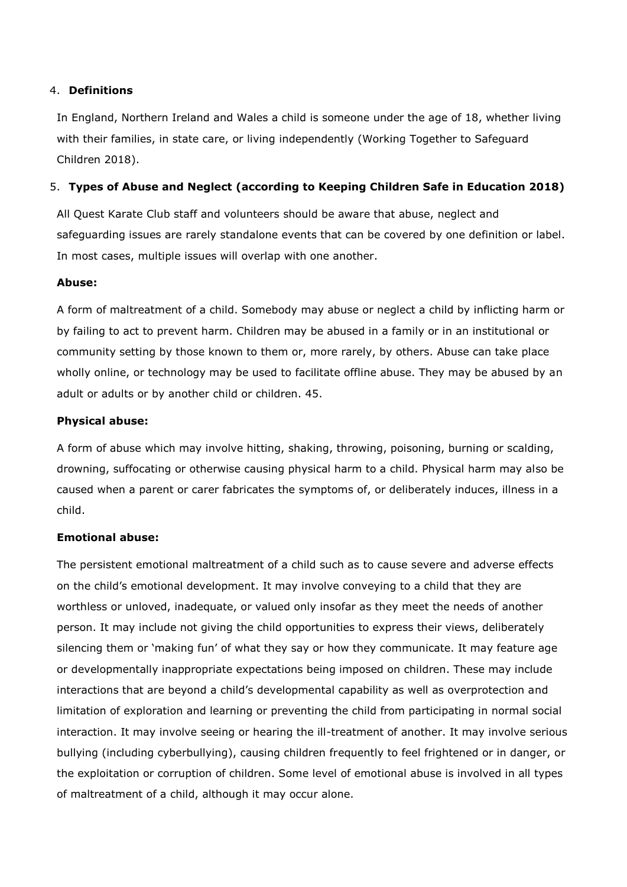#### 4. **Definitions**

In England, Northern Ireland and Wales a child is someone under the age of 18, whether living with their families, in state care, or living independently (Working Together to Safeguard Children 2018).

### 5. **Types of Abuse and Neglect (according to Keeping Children Safe in Education 2018)**

All Quest Karate Club staff and volunteers should be aware that abuse, neglect and safeguarding issues are rarely standalone events that can be covered by one definition or label. In most cases, multiple issues will overlap with one another.

#### **Abuse:**

A form of maltreatment of a child. Somebody may abuse or neglect a child by inflicting harm or by failing to act to prevent harm. Children may be abused in a family or in an institutional or community setting by those known to them or, more rarely, by others. Abuse can take place wholly online, or technology may be used to facilitate offline abuse. They may be abused by an adult or adults or by another child or children. 45.

### **Physical abuse:**

A form of abuse which may involve hitting, shaking, throwing, poisoning, burning or scalding, drowning, suffocating or otherwise causing physical harm to a child. Physical harm may also be caused when a parent or carer fabricates the symptoms of, or deliberately induces, illness in a child.

#### **Emotional abuse:**

The persistent emotional maltreatment of a child such as to cause severe and adverse effects on the child's emotional development. It may involve conveying to a child that they are worthless or unloved, inadequate, or valued only insofar as they meet the needs of another person. It may include not giving the child opportunities to express their views, deliberately silencing them or 'making fun' of what they say or how they communicate. It may feature age or developmentally inappropriate expectations being imposed on children. These may include interactions that are beyond a child's developmental capability as well as overprotection and limitation of exploration and learning or preventing the child from participating in normal social interaction. It may involve seeing or hearing the ill-treatment of another. It may involve serious bullying (including cyberbullying), causing children frequently to feel frightened or in danger, or the exploitation or corruption of children. Some level of emotional abuse is involved in all types of maltreatment of a child, although it may occur alone.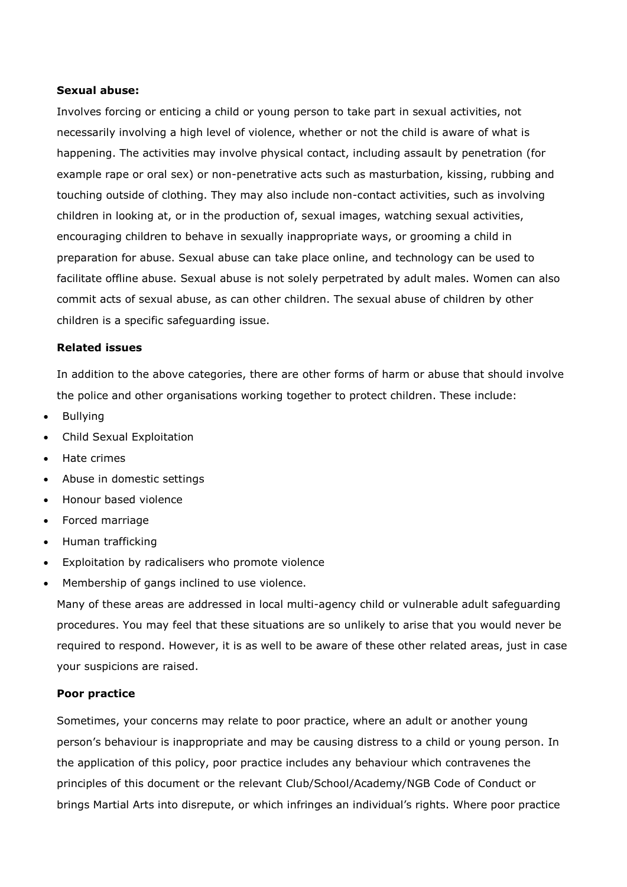#### **Sexual abuse:**

Involves forcing or enticing a child or young person to take part in sexual activities, not necessarily involving a high level of violence, whether or not the child is aware of what is happening. The activities may involve physical contact, including assault by penetration (for example rape or oral sex) or non-penetrative acts such as masturbation, kissing, rubbing and touching outside of clothing. They may also include non-contact activities, such as involving children in looking at, or in the production of, sexual images, watching sexual activities, encouraging children to behave in sexually inappropriate ways, or grooming a child in preparation for abuse. Sexual abuse can take place online, and technology can be used to facilitate offline abuse. Sexual abuse is not solely perpetrated by adult males. Women can also commit acts of sexual abuse, as can other children. The sexual abuse of children by other children is a specific safeguarding issue.

#### **Related issues**

In addition to the above categories, there are other forms of harm or abuse that should involve the police and other organisations working together to protect children. These include:

- Bullying
- Child Sexual Exploitation
- Hate crimes
- Abuse in domestic settings
- Honour based violence
- Forced marriage
- Human trafficking
- Exploitation by radicalisers who promote violence
- Membership of gangs inclined to use violence.

Many of these areas are addressed in local multi-agency child or vulnerable adult safeguarding procedures. You may feel that these situations are so unlikely to arise that you would never be required to respond. However, it is as well to be aware of these other related areas, just in case your suspicions are raised.

#### **Poor practice**

Sometimes, your concerns may relate to poor practice, where an adult or another young person's behaviour is inappropriate and may be causing distress to a child or young person. In the application of this policy, poor practice includes any behaviour which contravenes the principles of this document or the relevant Club/School/Academy/NGB Code of Conduct or brings Martial Arts into disrepute, or which infringes an individual's rights. Where poor practice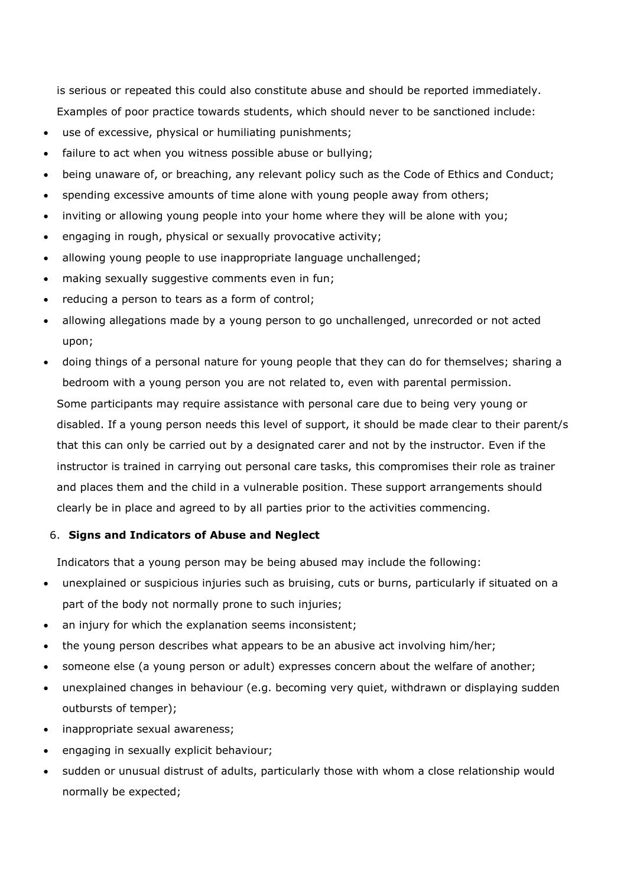is serious or repeated this could also constitute abuse and should be reported immediately. Examples of poor practice towards students, which should never to be sanctioned include:

- use of excessive, physical or humiliating punishments;
- failure to act when you witness possible abuse or bullying;
- being unaware of, or breaching, any relevant policy such as the Code of Ethics and Conduct;
- spending excessive amounts of time alone with young people away from others;
- inviting or allowing young people into your home where they will be alone with you;
- engaging in rough, physical or sexually provocative activity;
- allowing young people to use inappropriate language unchallenged;
- making sexually suggestive comments even in fun;
- reducing a person to tears as a form of control;
- allowing allegations made by a young person to go unchallenged, unrecorded or not acted upon;
- doing things of a personal nature for young people that they can do for themselves; sharing a bedroom with a young person you are not related to, even with parental permission. Some participants may require assistance with personal care due to being very young or disabled. If a young person needs this level of support, it should be made clear to their parent/s that this can only be carried out by a designated carer and not by the instructor. Even if the instructor is trained in carrying out personal care tasks, this compromises their role as trainer and places them and the child in a vulnerable position. These support arrangements should clearly be in place and agreed to by all parties prior to the activities commencing.

### 6. **Signs and Indicators of Abuse and Neglect**

Indicators that a young person may be being abused may include the following:

- unexplained or suspicious injuries such as bruising, cuts or burns, particularly if situated on a part of the body not normally prone to such injuries;
- an injury for which the explanation seems inconsistent;
- the young person describes what appears to be an abusive act involving him/her;
- someone else (a young person or adult) expresses concern about the welfare of another;
- unexplained changes in behaviour (e.g. becoming very quiet, withdrawn or displaying sudden outbursts of temper);
- inappropriate sexual awareness;
- engaging in sexually explicit behaviour;
- sudden or unusual distrust of adults, particularly those with whom a close relationship would normally be expected;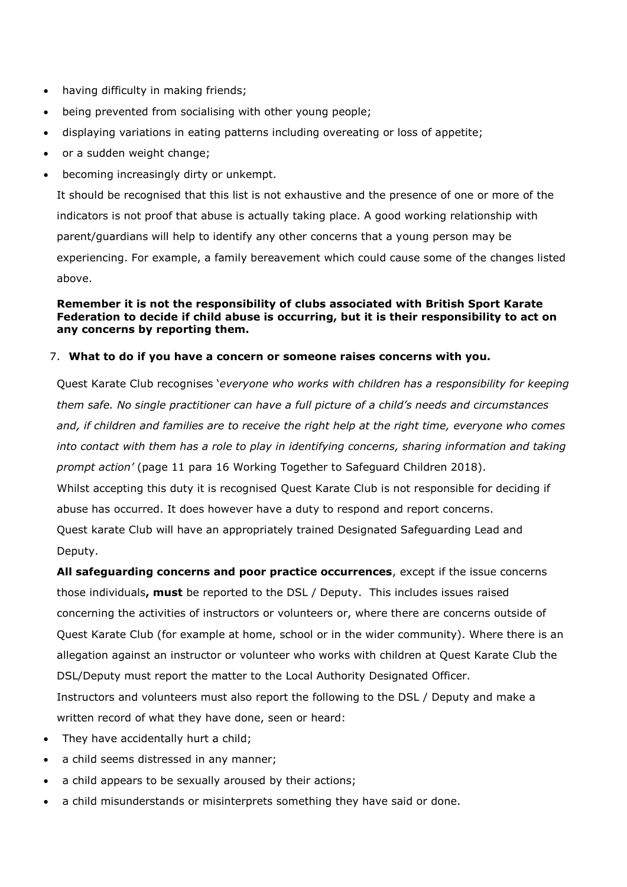- having difficulty in making friends;
- being prevented from socialising with other young people;
- displaying variations in eating patterns including overeating or loss of appetite;
- or a sudden weight change;
- becoming increasingly dirty or unkempt.

It should be recognised that this list is not exhaustive and the presence of one or more of the indicators is not proof that abuse is actually taking place. A good working relationship with parent/guardians will help to identify any other concerns that a young person may be experiencing. For example, a family bereavement which could cause some of the changes listed above.

### **Remember it is not the responsibility of clubs associated with British Sport Karate Federation to decide if child abuse is occurring, but it is their responsibility to act on any concerns by reporting them.**

### 7. **What to do if you have a concern or someone raises concerns with you.**

Quest Karate Club recognises '*everyone who works with children has a responsibility for keeping them safe. No single practitioner can have a full picture of a child's needs and circumstances and, if children and families are to receive the right help at the right time, everyone who comes into contact with them has a role to play in identifying concerns, sharing information and taking prompt action'* (page 11 para 16 Working Together to Safeguard Children 2018). Whilst accepting this duty it is recognised Quest Karate Club is not responsible for deciding if abuse has occurred. It does however have a duty to respond and report concerns. Quest karate Club will have an appropriately trained Designated Safeguarding Lead and Deputy.

**All safeguarding concerns and poor practice occurrences**, except if the issue concerns those individuals**, must** be reported to the DSL / Deputy. This includes issues raised concerning the activities of instructors or volunteers or, where there are concerns outside of Quest Karate Club (for example at home, school or in the wider community). Where there is an allegation against an instructor or volunteer who works with children at Quest Karate Club the DSL/Deputy must report the matter to the Local Authority Designated Officer. Instructors and volunteers must also report the following to the DSL / Deputy and make a written record of what they have done, seen or heard:

- They have accidentally hurt a child;
- a child seems distressed in any manner;
- a child appears to be sexually aroused by their actions;
- a child misunderstands or misinterprets something they have said or done.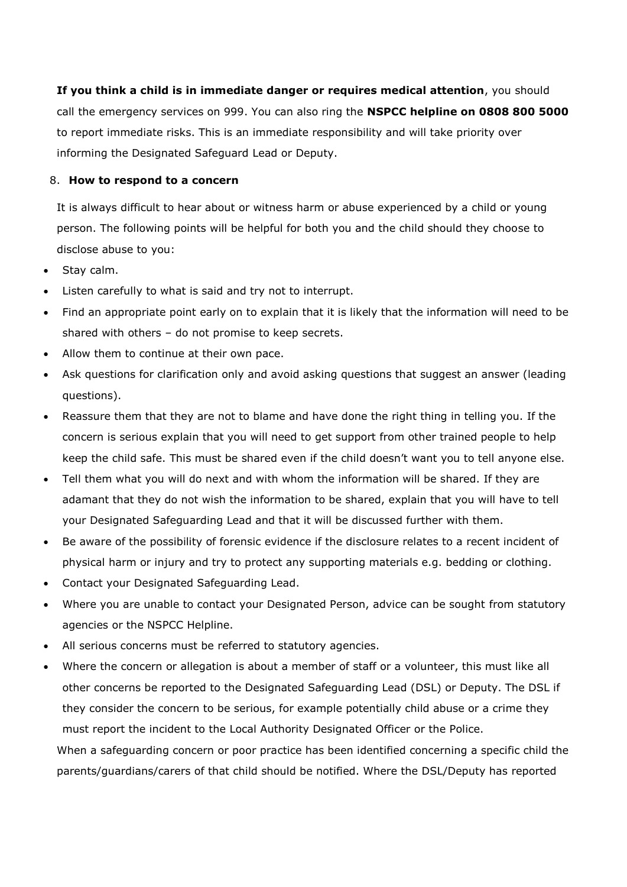**If you think a child is in immediate danger or requires medical attention**, you should call the emergency services on 999. You can also ring the **NSPCC helpline on 0808 800 5000** to report immediate risks. This is an immediate responsibility and will take priority over informing the Designated Safeguard Lead or Deputy.

#### 8. **How to respond to a concern**

It is always difficult to hear about or witness harm or abuse experienced by a child or young person. The following points will be helpful for both you and the child should they choose to disclose abuse to you:

- Stay calm.
- Listen carefully to what is said and try not to interrupt.
- Find an appropriate point early on to explain that it is likely that the information will need to be shared with others – do not promise to keep secrets.
- Allow them to continue at their own pace.
- Ask questions for clarification only and avoid asking questions that suggest an answer (leading questions).
- Reassure them that they are not to blame and have done the right thing in telling you. If the concern is serious explain that you will need to get support from other trained people to help keep the child safe. This must be shared even if the child doesn't want you to tell anyone else.
- Tell them what you will do next and with whom the information will be shared. If they are adamant that they do not wish the information to be shared, explain that you will have to tell your Designated Safeguarding Lead and that it will be discussed further with them.
- Be aware of the possibility of forensic evidence if the disclosure relates to a recent incident of physical harm or injury and try to protect any supporting materials e.g. bedding or clothing.
- Contact your Designated Safeguarding Lead.
- Where you are unable to contact your Designated Person, advice can be sought from statutory agencies or the NSPCC Helpline.
- All serious concerns must be referred to statutory agencies.
- Where the concern or allegation is about a member of staff or a volunteer, this must like all other concerns be reported to the Designated Safeguarding Lead (DSL) or Deputy. The DSL if they consider the concern to be serious, for example potentially child abuse or a crime they must report the incident to the Local Authority Designated Officer or the Police. When a safeguarding concern or poor practice has been identified concerning a specific child the parents/guardians/carers of that child should be notified. Where the DSL/Deputy has reported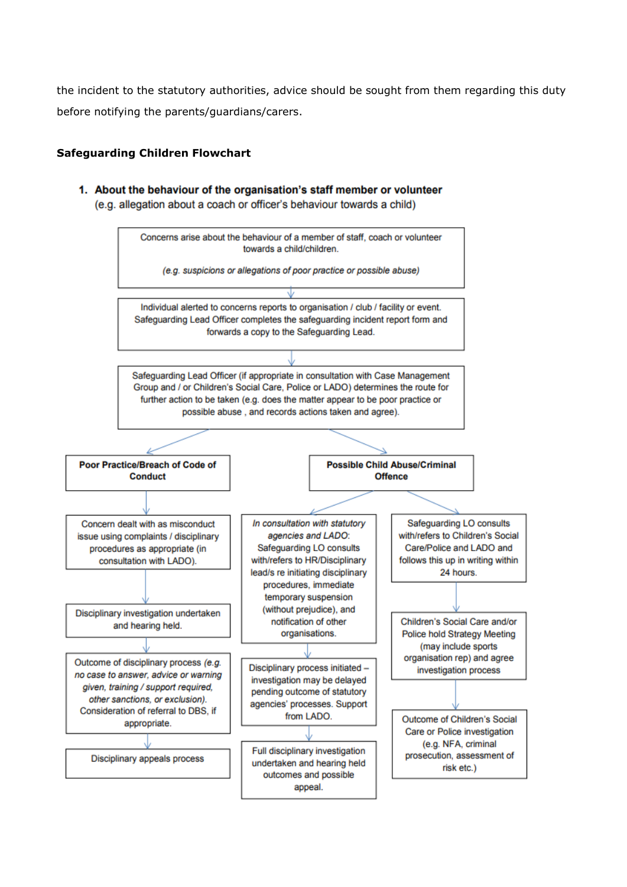the incident to the statutory authorities, advice should be sought from them regarding this duty before notifying the parents/guardians/carers.

### **Safeguarding Children Flowchart**

1. About the behaviour of the organisation's staff member or volunteer (e.g. allegation about a coach or officer's behaviour towards a child)

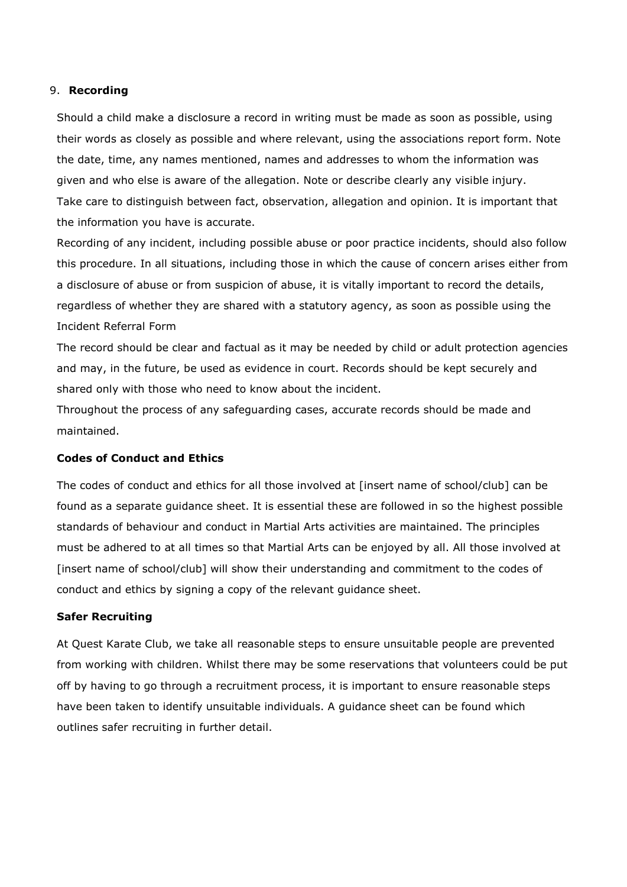#### 9. **Recording**

Should a child make a disclosure a record in writing must be made as soon as possible, using their words as closely as possible and where relevant, using the associations report form. Note the date, time, any names mentioned, names and addresses to whom the information was given and who else is aware of the allegation. Note or describe clearly any visible injury. Take care to distinguish between fact, observation, allegation and opinion. It is important that the information you have is accurate.

Recording of any incident, including possible abuse or poor practice incidents, should also follow this procedure. In all situations, including those in which the cause of concern arises either from a disclosure of abuse or from suspicion of abuse, it is vitally important to record the details, regardless of whether they are shared with a statutory agency, as soon as possible using the Incident Referral Form

The record should be clear and factual as it may be needed by child or adult protection agencies and may, in the future, be used as evidence in court. Records should be kept securely and shared only with those who need to know about the incident.

Throughout the process of any safeguarding cases, accurate records should be made and maintained.

#### **Codes of Conduct and Ethics**

The codes of conduct and ethics for all those involved at [insert name of school/club] can be found as a separate guidance sheet. It is essential these are followed in so the highest possible standards of behaviour and conduct in Martial Arts activities are maintained. The principles must be adhered to at all times so that Martial Arts can be enjoyed by all. All those involved at [insert name of school/club] will show their understanding and commitment to the codes of conduct and ethics by signing a copy of the relevant guidance sheet.

#### **Safer Recruiting**

At Quest Karate Club, we take all reasonable steps to ensure unsuitable people are prevented from working with children. Whilst there may be some reservations that volunteers could be put off by having to go through a recruitment process, it is important to ensure reasonable steps have been taken to identify unsuitable individuals. A guidance sheet can be found which outlines safer recruiting in further detail.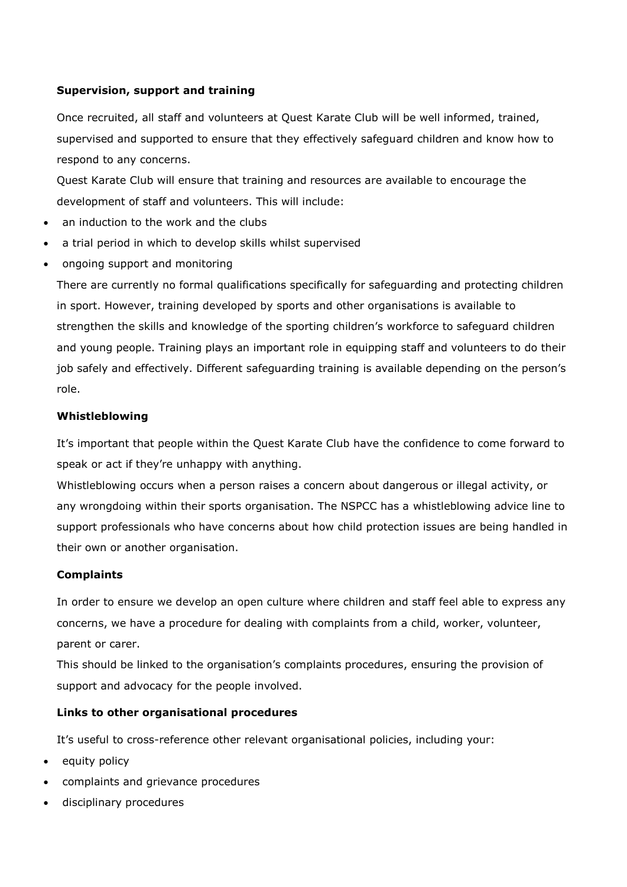### **Supervision, support and training**

Once recruited, all staff and volunteers at Quest Karate Club will be well informed, trained, supervised and supported to ensure that they effectively safeguard children and know how to respond to any concerns.

Quest Karate Club will ensure that training and resources are available to encourage the development of staff and volunteers. This will include:

- an induction to the work and the clubs
- a trial period in which to develop skills whilst supervised
- ongoing support and monitoring

There are currently no formal qualifications specifically for safeguarding and protecting children in sport. However, training developed by sports and other organisations is available to strengthen the skills and knowledge of the sporting children's workforce to safeguard children and young people. Training plays an important role in equipping staff and volunteers to do their job safely and effectively. Different safeguarding training is available depending on the person's role.

# **Whistleblowing**

It's important that people within the Quest Karate Club have the confidence to come forward to speak or act if they're unhappy with anything.

Whistleblowing occurs when a person raises a concern about dangerous or illegal activity, or any wrongdoing within their sports organisation. The NSPCC has a [whistleblowing advice line](https://www.nspcc.org.uk/what-you-can-do/report-abuse/dedicated-helplines/whistleblowing-advice-line/) to support professionals who have concerns about how child protection issues are being handled in their own or another organisation.

### **Complaints**

In order to ensure we develop an open culture where children and staff feel able to express any concerns, we have a procedure for dealing with complaints from a child, worker, volunteer, parent or carer.

This should be linked to the organisation's complaints procedures, ensuring the provision of support and advocacy for the people involved.

### **Links to other organisational procedures**

It's useful to cross-reference other relevant organisational policies, including your:

- equity policy
- complaints and grievance procedures
- disciplinary procedures